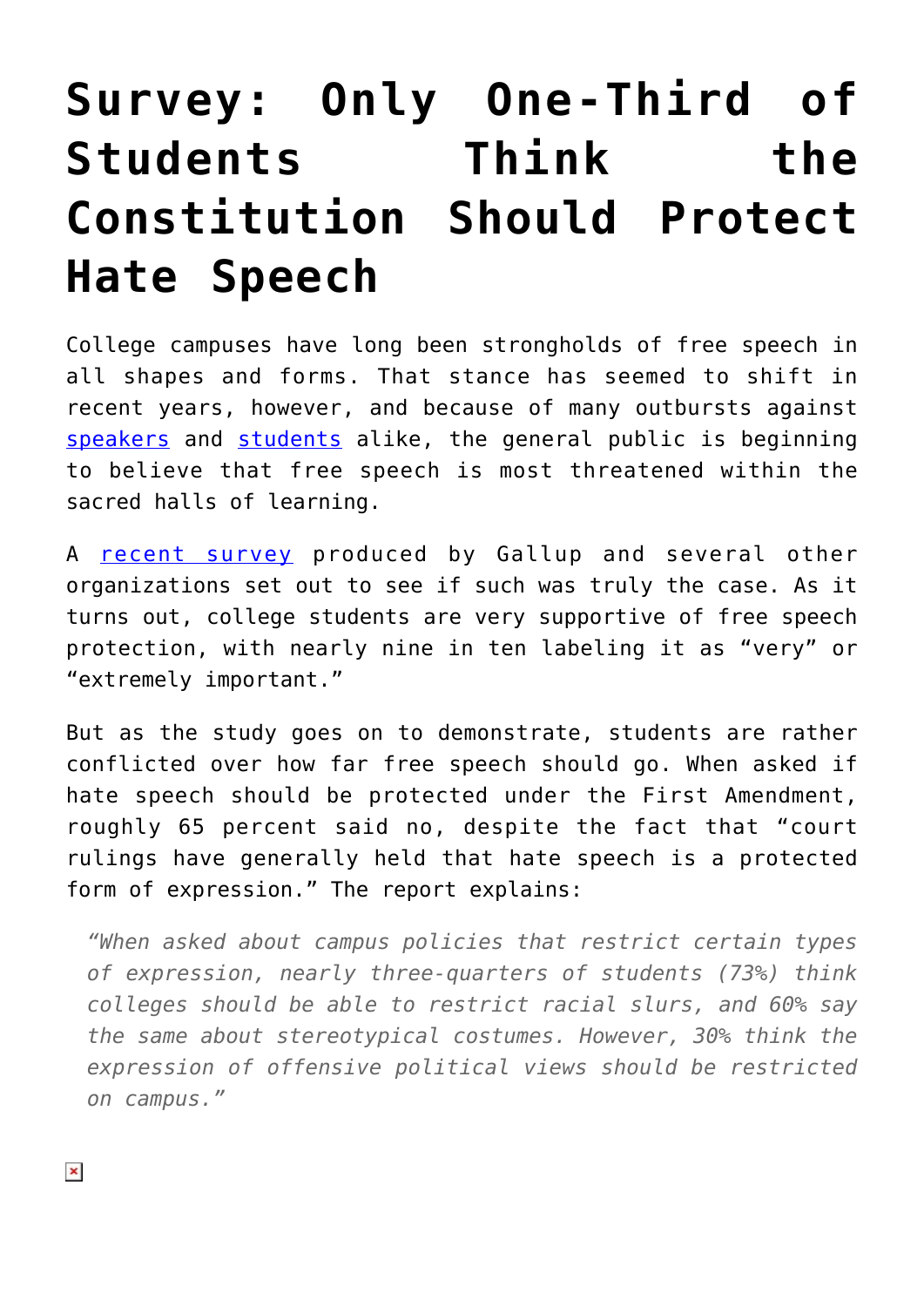## **[Survey: Only One-Third of](https://intellectualtakeout.org/2018/03/survey-only-one-third-of-students-think-the-constitution-should-protect-hate-speech/) [Students Think the](https://intellectualtakeout.org/2018/03/survey-only-one-third-of-students-think-the-constitution-should-protect-hate-speech/) [Constitution Should Protect](https://intellectualtakeout.org/2018/03/survey-only-one-third-of-students-think-the-constitution-should-protect-hate-speech/) [Hate Speech](https://intellectualtakeout.org/2018/03/survey-only-one-third-of-students-think-the-constitution-should-protect-hate-speech/)**

College campuses have long been strongholds of free speech in all shapes and forms. That stance has seemed to shift in recent years, however, and because of many outbursts against [speakers](https://www.intellectualtakeout.org/article/charles-murray-violent-middlebury-protesters-should-be-suspended-or-expelled) and [students](https://www.intellectualtakeout.org/blog/students-arrested-sharing-copies-us-constitution) alike, the general public is beginning to believe that free speech is most threatened within the sacred halls of learning.

A [recent survey](https://kf-site-production.s3.amazonaws.com/publications/pdfs/000/000/248/original/Knight_Foundation_Free_Expression_on_Campus_2017.pdf) produced by Gallup and several other organizations set out to see if such was truly the case. As it turns out, college students are very supportive of free speech protection, with nearly nine in ten labeling it as "very" or "extremely important."

But as the study goes on to demonstrate, students are rather conflicted over how far free speech should go. When asked if hate speech should be protected under the First Amendment, roughly 65 percent said no, despite the fact that "court rulings have generally held that hate speech is a protected form of expression." The report explains:

*"When asked about campus policies that restrict certain types of expression, nearly three-quarters of students (73%) think colleges should be able to restrict racial slurs, and 60% say the same about stereotypical costumes. However, 30% think the expression of offensive political views should be restricted on campus."*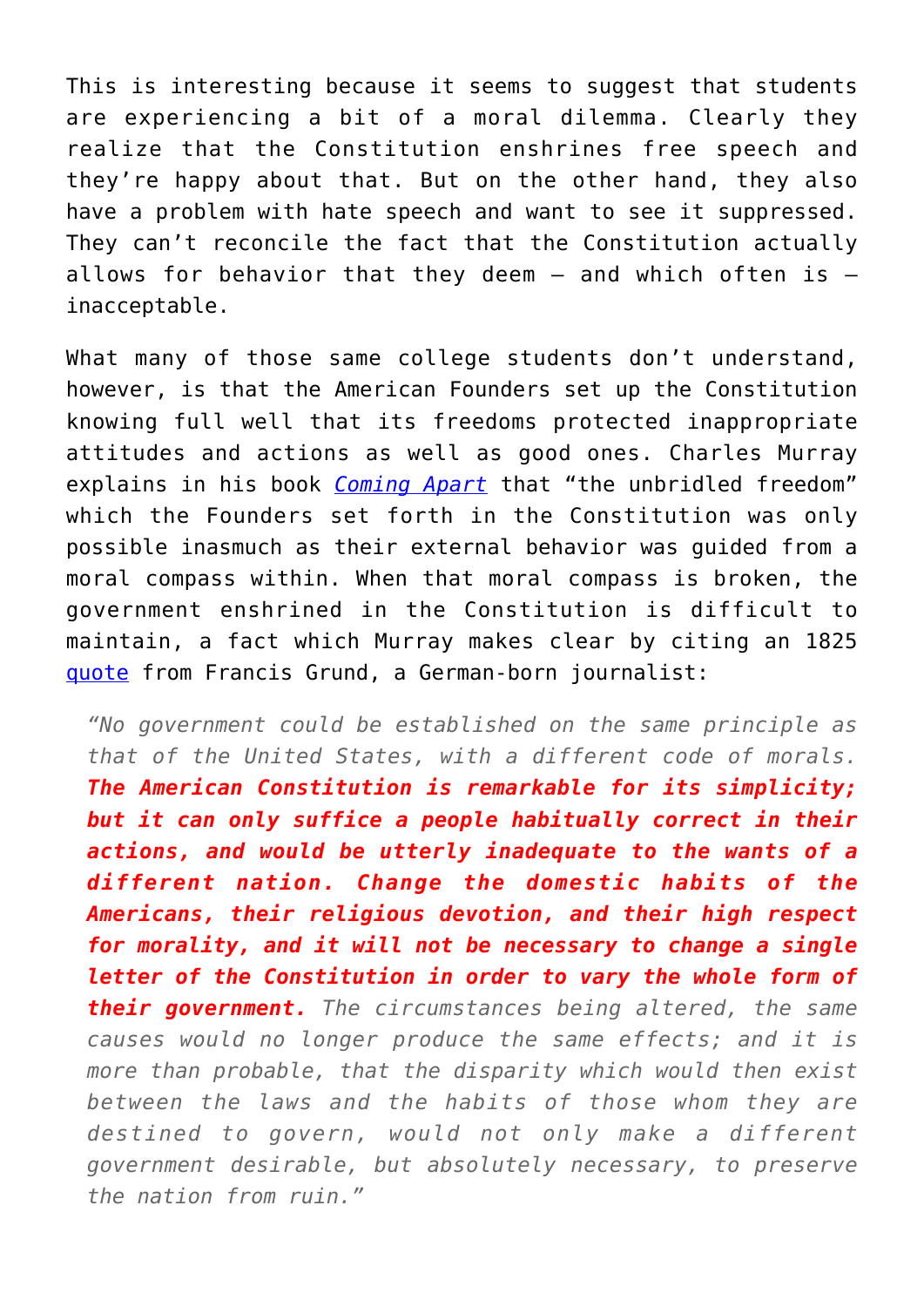This is interesting because it seems to suggest that students are experiencing a bit of a moral dilemma. Clearly they realize that the Constitution enshrines free speech and they're happy about that. But on the other hand, they also have a problem with hate speech and want to see it suppressed. They can't reconcile the fact that the Constitution actually allows for behavior that they deem  $-$  and which often is  $$ inacceptable.

What many of those same college students don't understand, however, is that the American Founders set up the Constitution knowing full well that its freedoms protected inappropriate attitudes and actions as well as good ones. Charles Murray explains in his book *[Coming Apart](https://www.amazon.com/gp/product/030745343X/ref=as_li_qf_asin_il_tl?ie=UTF8&tag=intelltakeo0d-20&creative=9325&linkCode=as2&creativeASIN=030745343X&linkId=e37b6673cdb4856b02913e6e233736e7)* that "the unbridled freedom" which the Founders set forth in the Constitution was only possible inasmuch as their external behavior was guided from a moral compass within. When that moral compass is broken, the government enshrined in the Constitution is difficult to maintain, a fact which Murray makes clear by citing an 1825 [quote](https://archive.org/stream/americansintheir00grun#page/172/mode/2up/search/domestic+habits) from Francis Grund, a German-born journalist:

*"No government could be established on the same principle as that of the United States, with a different code of morals. The American Constitution is remarkable for its simplicity; but it can only suffice a people habitually correct in their actions, and would be utterly inadequate to the wants of a different nation. Change the domestic habits of the Americans, their religious devotion, and their high respect for morality, and it will not be necessary to change a single letter of the Constitution in order to vary the whole form of their government. The circumstances being altered, the same causes would no longer produce the same effects; and it is more than probable, that the disparity which would then exist between the laws and the habits of those whom they are destined to govern, would not only make a different government desirable, but absolutely necessary, to preserve the nation from ruin."*